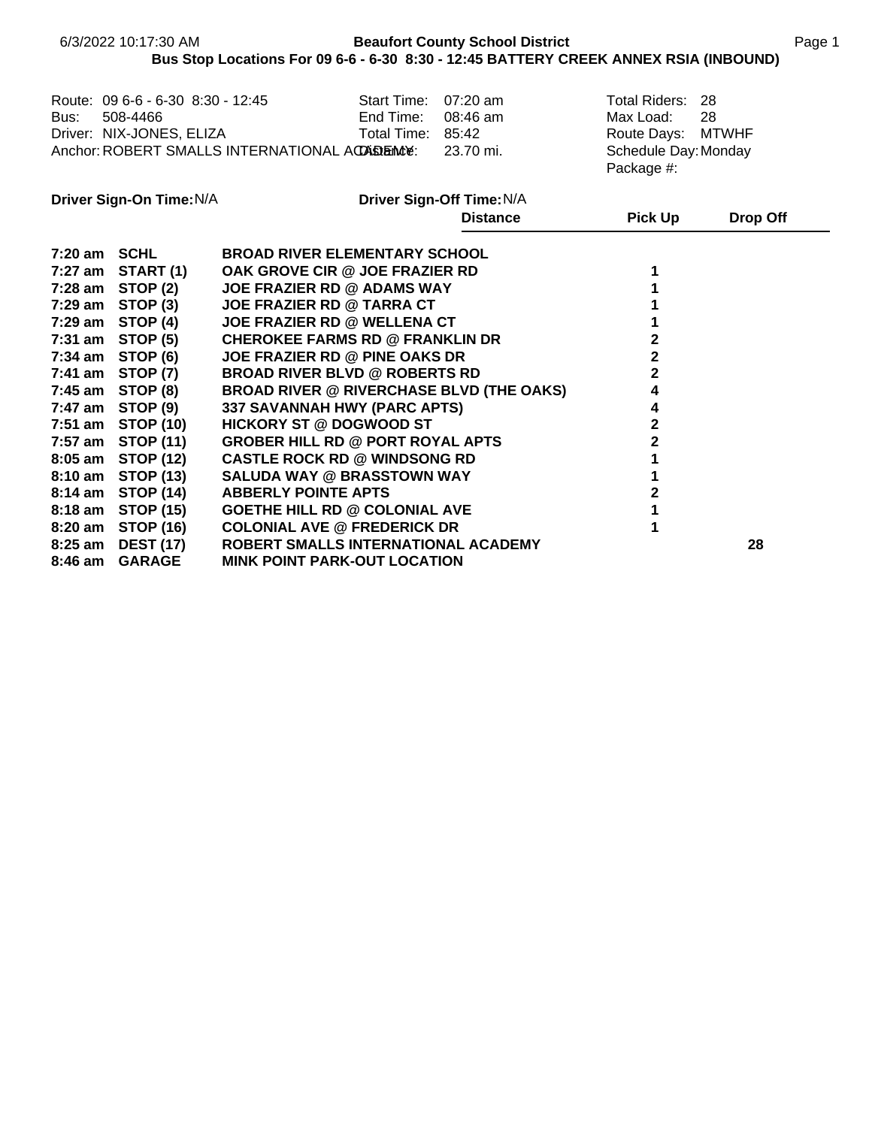|         |                                                                                                                                                                                                 |                                                                                                                                                                                                                                                                                                          |                                   | Bus Stop Locations For 09 6-6 - 6-30 8:30 - 12:45 BATTERY CREEK ANNEX RSIA (INBOUND) |                                                                                                                     |                 |
|---------|-------------------------------------------------------------------------------------------------------------------------------------------------------------------------------------------------|----------------------------------------------------------------------------------------------------------------------------------------------------------------------------------------------------------------------------------------------------------------------------------------------------------|-----------------------------------|--------------------------------------------------------------------------------------|---------------------------------------------------------------------------------------------------------------------|-----------------|
| Bus:    | 508-4466                                                                                                                                                                                        | Route: 09 6-6 - 6-30 8:30 - 12:45<br>Driver: NIX-JONES, ELIZA Total Time:<br>Anchor: ROBERT SMALLS INTERNATIONAL ACCABIENCE:                                                                                                                                                                             | Start Time: 07:20 am<br>End Time: | 08:46 am<br>85:42<br>23.70 mi.                                                       | Total Riders: 28<br>Max Load:<br>Route Days: MTWHF<br>Schedule Day: Monday<br>Package #:                            | 28              |
|         | Driver Sign-On Time: N/A                                                                                                                                                                        |                                                                                                                                                                                                                                                                                                          |                                   | Driver Sign-Off Time: N/A                                                            |                                                                                                                     |                 |
|         |                                                                                                                                                                                                 |                                                                                                                                                                                                                                                                                                          |                                   | <b>Distance</b>                                                                      | <b>Pick Up</b>                                                                                                      | <b>Drop Off</b> |
|         | 7:20 am SCHL<br>$7:27$ am START $(1)$<br>7:28 am STOP (2)<br>$7:29$ am STOP $(3)$<br>$7:29$ am STOP $(4)$<br>$7:31$ am STOP $(5)$<br>$7:34$ am STOP (6)<br>7:41 am STOP (7)<br>7:45 am STOP (8) | <b>BROAD RIVER ELEMENTARY SCHOOL</b><br>OAK GROVE CIR @ JOE FRAZIER RD<br><b>JOE FRAZIER RD @ ADAMS WAY</b><br><b>JOE FRAZIER RD @ TARRA CT</b><br>JOE FRAZIER RD @ WELLENA CT<br><b>CHEROKEE FARMS RD @ FRANKLIN DR</b><br><b>JOE FRAZIER RD @ PINE OAKS DR</b><br><b>BROAD RIVER BLVD @ ROBERTS RD</b> |                                   |                                                                                      | 1<br>1<br>1<br>1<br>$\overline{\mathbf{2}}$<br>$\overline{2}$<br>$\overline{\mathbf{2}}$<br>$\overline{\mathbf{4}}$ |                 |
|         | 7:47 am STOP (9)                                                                                                                                                                                | <b>BROAD RIVER @ RIVERCHASE BLVD (THE OAKS)</b><br>337 SAVANNAH HWY (PARC APTS)                                                                                                                                                                                                                          |                                   |                                                                                      | $\overline{\mathbf{4}}$                                                                                             |                 |
|         | 7:51 am STOP (10)<br>7:57 am STOP (11)                                                                                                                                                          | <b>HICKORY ST @ DOGWOOD ST</b><br><b>GROBER HILL RD @ PORT ROYAL APTS</b>                                                                                                                                                                                                                                |                                   |                                                                                      | $\overline{\mathbf{2}}$<br>$\overline{2}$                                                                           |                 |
|         | 8:05 am STOP (12)<br>8:10 am STOP (13)                                                                                                                                                          | <b>CASTLE ROCK RD @ WINDSONG RD</b><br><b>SALUDA WAY @ BRASSTOWN WAY</b>                                                                                                                                                                                                                                 |                                   |                                                                                      | $\mathbf{1}$<br>$\mathbf{1}$                                                                                        |                 |
|         | 8:14 am STOP (14)                                                                                                                                                                               | <b>ABBERLY POINTE APTS</b>                                                                                                                                                                                                                                                                               |                                   |                                                                                      | $\mathbf{2}$<br>1                                                                                                   |                 |
|         | 8:18 am STOP (15)<br>8:20 am STOP (16)                                                                                                                                                          | <b>GOETHE HILL RD @ COLONIAL AVE</b><br><b>COLONIAL AVE @ FREDERICK DR</b>                                                                                                                                                                                                                               |                                   |                                                                                      | 1                                                                                                                   |                 |
| 8:46 am | 8:25 am DEST (17)<br><b>GARAGE</b>                                                                                                                                                              | ROBERT SMALLS INTERNATIONAL ACADEMY<br><b>MINK POINT PARK-OUT LOCATION</b>                                                                                                                                                                                                                               |                                   |                                                                                      |                                                                                                                     | 28              |

**Beaufort County School District County School District Page 1** 

6/3/2022 10:17:30 AM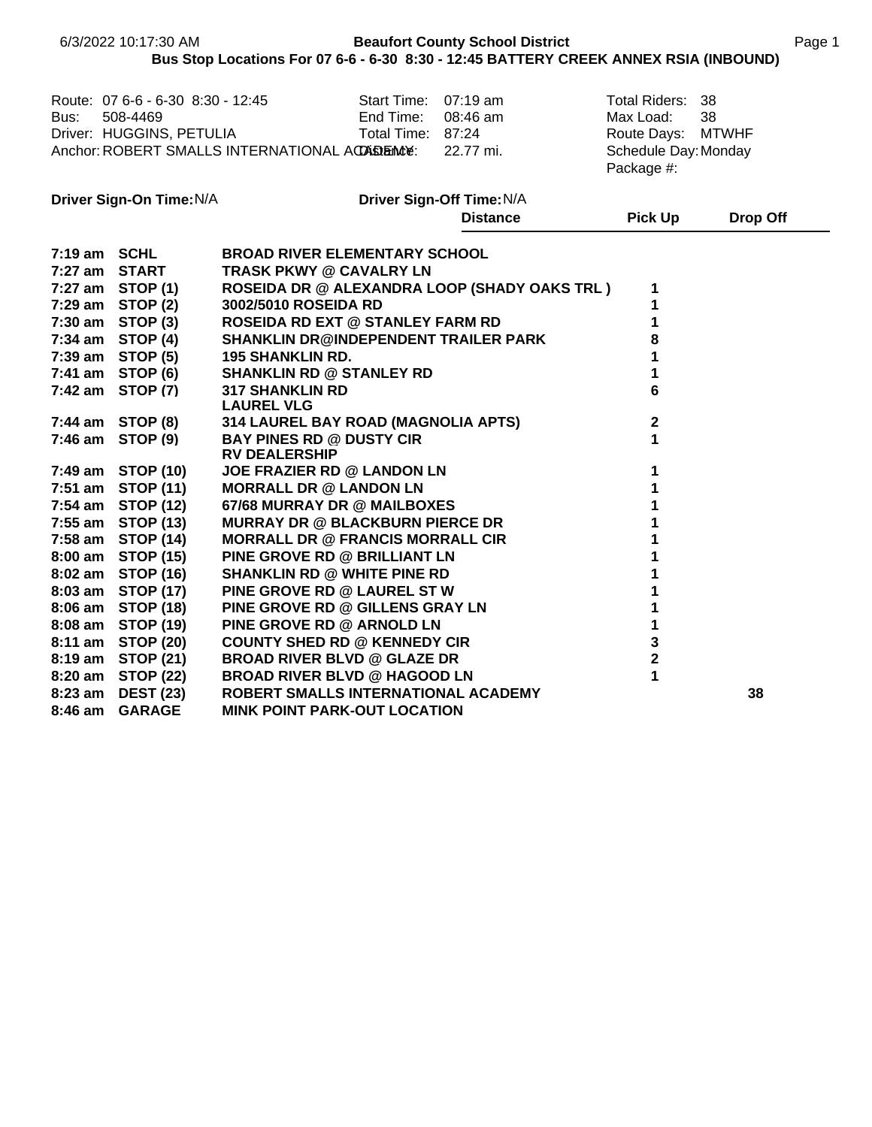|              | 6/3/2022 10:17:30 AM              |                                                      |                      | <b>Beaufort County School District</b> | Bus Stop Locations For 07 6-6 - 6-30 8:30 - 12:45 BATTERY CREEK ANNEX RSIA (INBOUND) |              | Page 1 |
|--------------|-----------------------------------|------------------------------------------------------|----------------------|----------------------------------------|--------------------------------------------------------------------------------------|--------------|--------|
|              |                                   |                                                      |                      |                                        |                                                                                      |              |        |
|              | Route: 07 6-6 - 6-30 8:30 - 12:45 |                                                      | Start Time: 07:19 am |                                        | <b>Total Riders:</b>                                                                 | 38           |        |
| Bus:         | 508-4469                          |                                                      | End Time:            | 08:46 am                               | Max Load:                                                                            | 38           |        |
|              | Driver: HUGGINS, PETULIA          |                                                      | Total Time: 87:24    |                                        | Route Days:                                                                          | <b>MTWHF</b> |        |
|              |                                   | Anchor: ROBERT SMALLS INTERNATIONAL ACCASEMENCE:     |                      | 22.77 mi.                              | Schedule Day: Monday                                                                 |              |        |
|              |                                   |                                                      |                      |                                        | Package #:                                                                           |              |        |
|              | Driver Sign-On Time: N/A          |                                                      |                      | Driver Sign-Off Time: N/A              |                                                                                      |              |        |
|              |                                   |                                                      |                      | <b>Distance</b>                        | <b>Pick Up</b>                                                                       | Drop Off     |        |
| 7:19 am SCHL |                                   | <b>BROAD RIVER ELEMENTARY SCHOOL</b>                 |                      |                                        |                                                                                      |              |        |
|              | 7:27 am START                     | <b>TRASK PKWY @ CAVALRY LN</b>                       |                      |                                        |                                                                                      |              |        |
|              | 7:27 am STOP (1)                  | <b>ROSEIDA DR @ ALEXANDRA LOOP (SHADY OAKS TRL )</b> |                      |                                        | 1                                                                                    |              |        |
|              | 7:29 am STOP (2)                  | 3002/5010 ROSEIDA RD                                 |                      |                                        | 1                                                                                    |              |        |
|              | 7:30 am STOP (3)                  | <b>ROSEIDA RD EXT @ STANLEY FARM RD</b>              |                      |                                        | 1                                                                                    |              |        |
|              | $7:34$ am STOP $(4)$              | <b>SHANKLIN DR@INDEPENDENT TRAILER PARK</b>          |                      |                                        | 8                                                                                    |              |        |
|              | 7:39 am STOP (5)                  | <b>195 SHANKLIN RD.</b>                              |                      |                                        | 1                                                                                    |              |        |
|              | 7:41 am STOP (6)                  | <b>SHANKLIN RD @ STANLEY RD</b>                      |                      |                                        | 1                                                                                    |              |        |
|              | 7:42 am STOP (7)                  | <b>317 SHANKLIN RD</b><br><b>LAUREL VLG</b>          |                      |                                        | 6                                                                                    |              |        |
|              | 7:44 am STOP (8)                  | 314 LAUREL BAY ROAD (MAGNOLIA APTS)                  |                      |                                        | $\boldsymbol{2}$                                                                     |              |        |
|              | 7:46 am STOP (9)                  | <b>BAY PINES RD @ DUSTY CIR</b>                      |                      |                                        | 1                                                                                    |              |        |
|              |                                   | <b>RV DEALERSHIP</b>                                 |                      |                                        |                                                                                      |              |        |
|              | 7:49 am STOP (10)                 | JOE FRAZIER RD @ LANDON LN                           |                      |                                        | 1                                                                                    |              |        |
|              | 7:51 am STOP (11)                 | <b>MORRALL DR @ LANDON LN</b>                        |                      |                                        | 1                                                                                    |              |        |
|              | 7:54 am STOP (12)                 | 67/68 MURRAY DR @ MAILBOXES                          |                      |                                        | 1                                                                                    |              |        |
|              | 7:55 am STOP (13)                 | <b>MURRAY DR @ BLACKBURN PIERCE DR</b>               |                      |                                        | 1                                                                                    |              |        |
|              | 7:58 am STOP (14)                 | <b>MORRALL DR @ FRANCIS MORRALL CIR</b>              |                      |                                        | 1                                                                                    |              |        |
|              | 8:00 am STOP (15)                 | PINE GROVE RD @ BRILLIANT LN                         |                      |                                        | 1                                                                                    |              |        |
|              | 8:02 am STOP (16)                 | <b>SHANKLIN RD @ WHITE PINE RD</b>                   |                      |                                        | 1                                                                                    |              |        |
|              | 8:03 am STOP (17)                 | PINE GROVE RD @ LAUREL ST W                          |                      |                                        | 1                                                                                    |              |        |
|              | 8:06 am STOP (18)                 | PINE GROVE RD @ GILLENS GRAY LN                      |                      |                                        | 1                                                                                    |              |        |
|              | 8:08 am STOP (19)                 | PINE GROVE RD @ ARNOLD LN                            |                      |                                        | $\mathbf 1$                                                                          |              |        |
|              | 8:11 am STOP (20)                 | <b>COUNTY SHED RD @ KENNEDY CIR</b>                  |                      |                                        | 3                                                                                    |              |        |
|              | 8:19 am STOP (21)                 | <b>BROAD RIVER BLVD @ GLAZE DR</b>                   |                      |                                        | $\mathbf 2$                                                                          |              |        |
|              | 8:20 am STOP (22)                 | <b>BROAD RIVER BLVD @ HAGOOD LN</b>                  |                      |                                        | 1                                                                                    |              |        |
| 8:23 am      | <b>DEST (23)</b>                  | ROBERT SMALLS INTERNATIONAL ACADEMY                  |                      |                                        |                                                                                      | 38           |        |
|              | 8:46 am GARAGE                    | <b>MINK POINT PARK-OUT LOCATION</b>                  |                      |                                        |                                                                                      |              |        |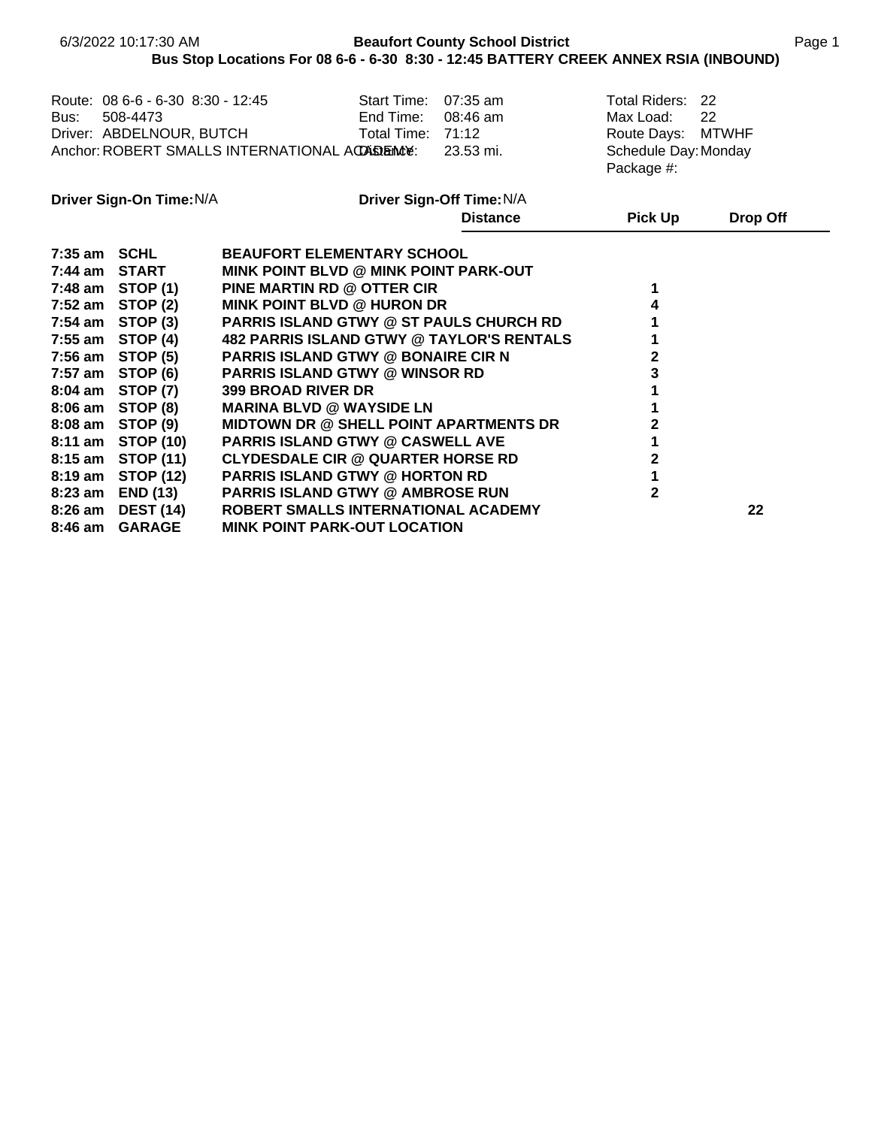|         | 6/3/2022 10:17:30 AM                                                                                                                                                                                         | Bus Stop Locations For 08 6-6 - 6-30 8:30 - 12:45 BATTERY CREEK ANNEX RSIA (INBOUND)                                                                                                                                                                                                                                                                                                                      |                                                        | <b>Beaufort County School District</b> |                                                                                          |          | Page 1 |
|---------|--------------------------------------------------------------------------------------------------------------------------------------------------------------------------------------------------------------|-----------------------------------------------------------------------------------------------------------------------------------------------------------------------------------------------------------------------------------------------------------------------------------------------------------------------------------------------------------------------------------------------------------|--------------------------------------------------------|----------------------------------------|------------------------------------------------------------------------------------------|----------|--------|
| Bus:    | Route: 08 6-6 - 6-30 8:30 - 12:45<br>508-4473                                                                                                                                                                | Driver: ABDELNOUR, BUTCH<br>Anchor: ROBERT SMALLS INTERNATIONAL ACCABEMENT:                                                                                                                                                                                                                                                                                                                               | Start Time: 07:35 am<br>End Time:<br>Total Time: 71:12 | 08:46 am<br>23.53 mi.                  | Total Riders: 22<br>Max Load:<br>Route Days: MTWHF<br>Schedule Day: Monday<br>Package #: | 22       |        |
|         | Driver Sign-On Time: N/A                                                                                                                                                                                     |                                                                                                                                                                                                                                                                                                                                                                                                           |                                                        | Driver Sign-Off Time: N/A              |                                                                                          |          |        |
|         |                                                                                                                                                                                                              |                                                                                                                                                                                                                                                                                                                                                                                                           |                                                        | <b>Distance</b>                        | <b>Pick Up</b>                                                                           | Drop Off |        |
|         | 7:35 am SCHL<br>7:44 am START<br>7:48 am STOP (1)<br>$7:52$ am STOP $(2)$<br>$7:54$ am STOP $(3)$<br>7:55 am $STOP(4)$<br>$7:56$ am STOP $(5)$<br>$7:57$ am STOP (6)<br>8:04 am STOP (7)<br>8:06 am STOP (8) | <b>BEAUFORT ELEMENTARY SCHOOL</b><br>MINK POINT BLVD @ MINK POINT PARK-OUT<br>PINE MARTIN RD @ OTTER CIR<br><b>MINK POINT BLVD @ HURON DR</b><br><b>PARRIS ISLAND GTWY @ ST PAULS CHURCH RD</b><br><b>482 PARRIS ISLAND GTWY @ TAYLOR'S RENTALS</b><br><b>PARRIS ISLAND GTWY @ BONAIRE CIR N</b><br><b>PARRIS ISLAND GTWY @ WINSOR RD</b><br><b>399 BROAD RIVER DR</b><br><b>MARINA BLVD @ WAYSIDE LN</b> |                                                        |                                        | 1<br>4<br>2<br>3                                                                         |          |        |
|         | 8:08 am STOP (9)                                                                                                                                                                                             | <b>MIDTOWN DR @ SHELL POINT APARTMENTS DR</b>                                                                                                                                                                                                                                                                                                                                                             |                                                        |                                        | 2                                                                                        |          |        |
|         | 8:11 am STOP (10)<br>8:15 am STOP (11)<br>8:19 am STOP (12)<br>8:23 am END (13)                                                                                                                              | <b>PARRIS ISLAND GTWY @ CASWELL AVE</b><br><b>CLYDESDALE CIR @ QUARTER HORSE RD</b><br><b>PARRIS ISLAND GTWY @ HORTON RD</b><br><b>PARRIS ISLAND GTWY @ AMBROSE RUN</b>                                                                                                                                                                                                                                   |                                                        |                                        | $\mathbf 2$<br>$\overline{2}$                                                            |          |        |
| 8:46 am | 8:26 am DEST (14)<br><b>GARAGE</b>                                                                                                                                                                           | ROBERT SMALLS INTERNATIONAL ACADEMY<br><b>MINK POINT PARK-OUT LOCATION</b>                                                                                                                                                                                                                                                                                                                                |                                                        |                                        |                                                                                          | 22       |        |